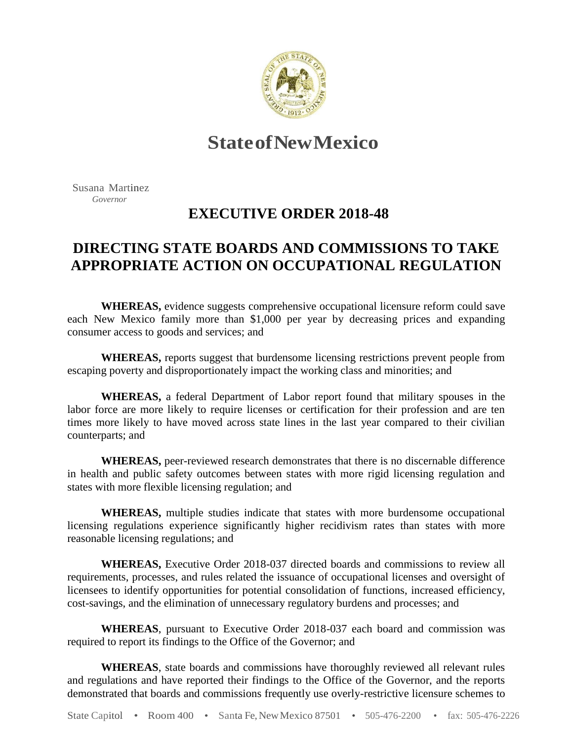

## **StateofNewMexico**

Susana Martinez  *Governor*

## **EXECUTIVE ORDER 2018-48**

## **DIRECTING STATE BOARDS AND COMMISSIONS TO TAKE APPROPRIATE ACTION ON OCCUPATIONAL REGULATION**

**WHEREAS,** evidence suggests comprehensive occupational licensure reform could save each New Mexico family more than \$1,000 per year by decreasing prices and expanding consumer access to goods and services; and

**WHEREAS,** reports suggest that burdensome licensing restrictions prevent people from escaping poverty and disproportionately impact the working class and minorities; and

**WHEREAS,** a federal Department of Labor report found that military spouses in the labor force are more likely to require licenses or certification for their profession and are ten times more likely to have moved across state lines in the last year compared to their civilian counterparts; and

**WHEREAS,** peer-reviewed research demonstrates that there is no discernable difference in health and public safety outcomes between states with more rigid licensing regulation and states with more flexible licensing regulation; and

**WHEREAS,** multiple studies indicate that states with more burdensome occupational licensing regulations experience significantly higher recidivism rates than states with more reasonable licensing regulations; and

**WHEREAS,** Executive Order 2018-037 directed boards and commissions to review all requirements, processes, and rules related the issuance of occupational licenses and oversight of licensees to identify opportunities for potential consolidation of functions, increased efficiency, cost-savings, and the elimination of unnecessary regulatory burdens and processes; and

**WHEREAS**, pursuant to Executive Order 2018-037 each board and commission was required to report its findings to the Office of the Governor; and

**WHEREAS**, state boards and commissions have thoroughly reviewed all relevant rules and regulations and have reported their findings to the Office of the Governor, and the reports demonstrated that boards and commissions frequently use overly-restrictive licensure schemes to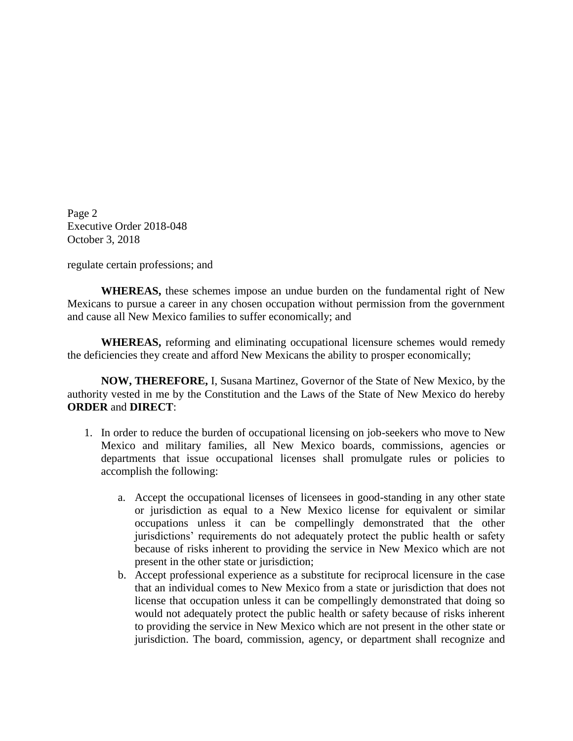Page 2 Executive Order 2018-048 October 3, 2018

regulate certain professions; and

**WHEREAS,** these schemes impose an undue burden on the fundamental right of New Mexicans to pursue a career in any chosen occupation without permission from the government and cause all New Mexico families to suffer economically; and

**WHEREAS,** reforming and eliminating occupational licensure schemes would remedy the deficiencies they create and afford New Mexicans the ability to prosper economically;

**NOW, THEREFORE,** I, Susana Martinez, Governor of the State of New Mexico, by the authority vested in me by the Constitution and the Laws of the State of New Mexico do hereby **ORDER** and **DIRECT**:

- 1. In order to reduce the burden of occupational licensing on job-seekers who move to New Mexico and military families, all New Mexico boards, commissions, agencies or departments that issue occupational licenses shall promulgate rules or policies to accomplish the following:
	- a. Accept the occupational licenses of licensees in good-standing in any other state or jurisdiction as equal to a New Mexico license for equivalent or similar occupations unless it can be compellingly demonstrated that the other jurisdictions' requirements do not adequately protect the public health or safety because of risks inherent to providing the service in New Mexico which are not present in the other state or jurisdiction;
	- b. Accept professional experience as a substitute for reciprocal licensure in the case that an individual comes to New Mexico from a state or jurisdiction that does not license that occupation unless it can be compellingly demonstrated that doing so would not adequately protect the public health or safety because of risks inherent to providing the service in New Mexico which are not present in the other state or jurisdiction. The board, commission, agency, or department shall recognize and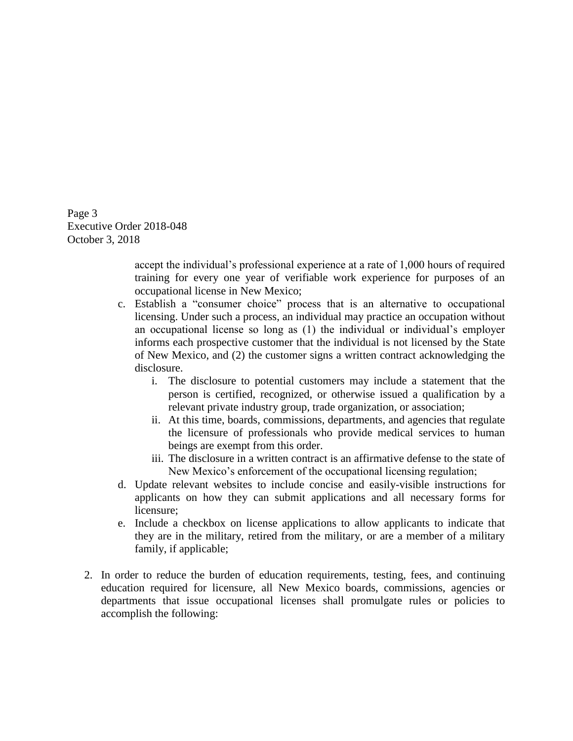Page 3 Executive Order 2018-048 October 3, 2018

> accept the individual's professional experience at a rate of 1,000 hours of required training for every one year of verifiable work experience for purposes of an occupational license in New Mexico;

- c. Establish a "consumer choice" process that is an alternative to occupational licensing. Under such a process, an individual may practice an occupation without an occupational license so long as (1) the individual or individual's employer informs each prospective customer that the individual is not licensed by the State of New Mexico, and (2) the customer signs a written contract acknowledging the disclosure.
	- i. The disclosure to potential customers may include a statement that the person is certified, recognized, or otherwise issued a qualification by a relevant private industry group, trade organization, or association;
	- ii. At this time, boards, commissions, departments, and agencies that regulate the licensure of professionals who provide medical services to human beings are exempt from this order.
	- iii. The disclosure in a written contract is an affirmative defense to the state of New Mexico's enforcement of the occupational licensing regulation;
- d. Update relevant websites to include concise and easily-visible instructions for applicants on how they can submit applications and all necessary forms for licensure;
- e. Include a checkbox on license applications to allow applicants to indicate that they are in the military, retired from the military, or are a member of a military family, if applicable;
- 2. In order to reduce the burden of education requirements, testing, fees, and continuing education required for licensure, all New Mexico boards, commissions, agencies or departments that issue occupational licenses shall promulgate rules or policies to accomplish the following: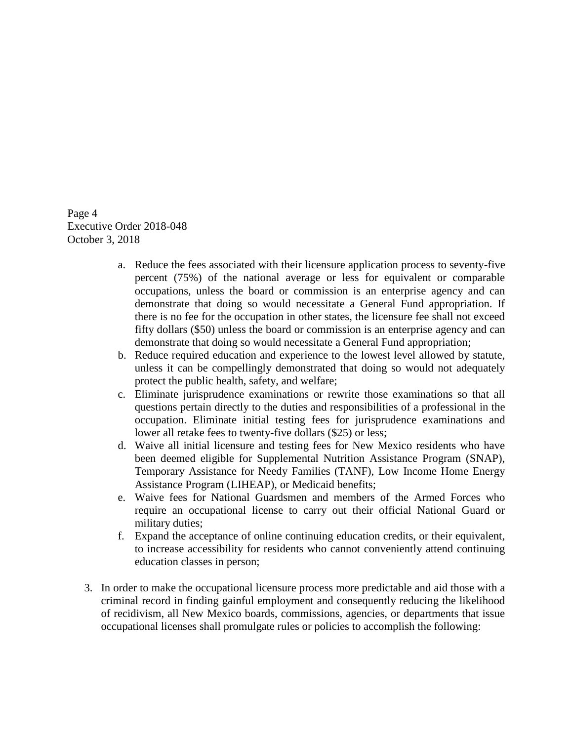Page 4 Executive Order 2018-048 October 3, 2018

- a. Reduce the fees associated with their licensure application process to seventy-five percent (75%) of the national average or less for equivalent or comparable occupations, unless the board or commission is an enterprise agency and can demonstrate that doing so would necessitate a General Fund appropriation. If there is no fee for the occupation in other states, the licensure fee shall not exceed fifty dollars (\$50) unless the board or commission is an enterprise agency and can demonstrate that doing so would necessitate a General Fund appropriation;
- b. Reduce required education and experience to the lowest level allowed by statute, unless it can be compellingly demonstrated that doing so would not adequately protect the public health, safety, and welfare;
- c. Eliminate jurisprudence examinations or rewrite those examinations so that all questions pertain directly to the duties and responsibilities of a professional in the occupation. Eliminate initial testing fees for jurisprudence examinations and lower all retake fees to twenty-five dollars (\$25) or less;
- d. Waive all initial licensure and testing fees for New Mexico residents who have been deemed eligible for Supplemental Nutrition Assistance Program (SNAP), Temporary Assistance for Needy Families (TANF), Low Income Home Energy Assistance Program (LIHEAP), or Medicaid benefits;
- e. Waive fees for National Guardsmen and members of the Armed Forces who require an occupational license to carry out their official National Guard or military duties;
- f. Expand the acceptance of online continuing education credits, or their equivalent, to increase accessibility for residents who cannot conveniently attend continuing education classes in person;
- 3. In order to make the occupational licensure process more predictable and aid those with a criminal record in finding gainful employment and consequently reducing the likelihood of recidivism, all New Mexico boards, commissions, agencies, or departments that issue occupational licenses shall promulgate rules or policies to accomplish the following: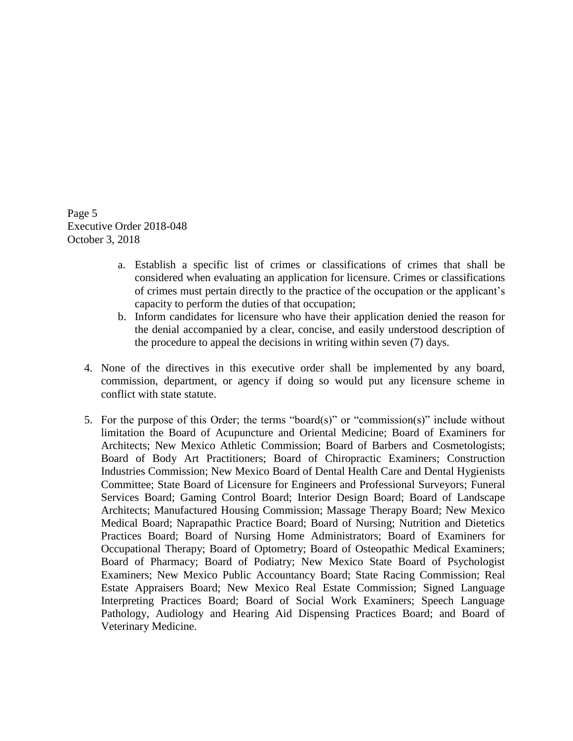Page 5 Executive Order 2018-048 October 3, 2018

- a. Establish a specific list of crimes or classifications of crimes that shall be considered when evaluating an application for licensure. Crimes or classifications of crimes must pertain directly to the practice of the occupation or the applicant's capacity to perform the duties of that occupation;
- b. Inform candidates for licensure who have their application denied the reason for the denial accompanied by a clear, concise, and easily understood description of the procedure to appeal the decisions in writing within seven (7) days.
- 4. None of the directives in this executive order shall be implemented by any board, commission, department, or agency if doing so would put any licensure scheme in conflict with state statute.
- 5. For the purpose of this Order; the terms "board(s)" or "commission(s)" include without limitation the Board of Acupuncture and Oriental Medicine; Board of Examiners for Architects; New Mexico Athletic Commission; Board of Barbers and Cosmetologists; Board of Body Art Practitioners; Board of Chiropractic Examiners; Construction Industries Commission; New Mexico Board of Dental Health Care and Dental Hygienists Committee; State Board of Licensure for Engineers and Professional Surveyors; Funeral Services Board; Gaming Control Board; Interior Design Board; Board of Landscape Architects; Manufactured Housing Commission; Massage Therapy Board; New Mexico Medical Board; Naprapathic Practice Board; Board of Nursing; Nutrition and Dietetics Practices Board; Board of Nursing Home Administrators; Board of Examiners for Occupational Therapy; Board of Optometry; Board of Osteopathic Medical Examiners; Board of Pharmacy; Board of Podiatry; New Mexico State Board of Psychologist Examiners; New Mexico Public Accountancy Board; State Racing Commission; Real Estate Appraisers Board; New Mexico Real Estate Commission; Signed Language Interpreting Practices Board; Board of Social Work Examiners; Speech Language Pathology, Audiology and Hearing Aid Dispensing Practices Board; and Board of Veterinary Medicine.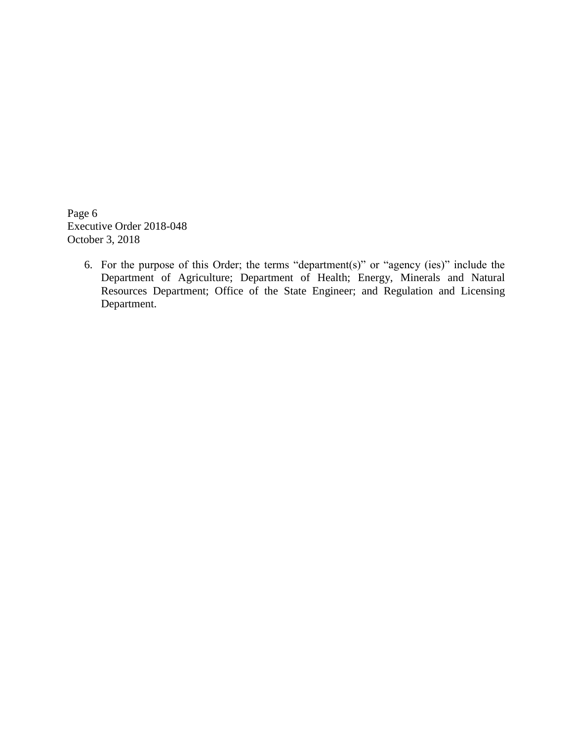Page 6 Executive Order 2018-048 October 3, 2018

> 6. For the purpose of this Order; the terms "department(s)" or "agency (ies)" include the Department of Agriculture; Department of Health; Energy, Minerals and Natural Resources Department; Office of the State Engineer; and Regulation and Licensing Department.